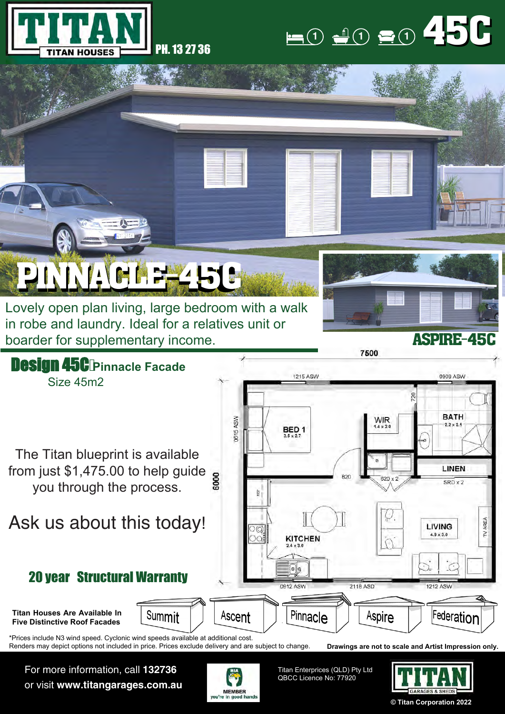

#### **1**  $\frac{1}{2}$  (1) **1** (1 45C 45C

## PINNACHE-25C

Lovely open plan living, large bedroom with a walk in robe and laundry. Ideal for a relatives unit or boarder for supplementary income.



0909 ASW

7500

## Size 45m2 **BIS ASW** The Titan blueprint is available

from just \$1,475.00 to help guide you through the process.

Design 45C**Pinnacle Facade**

### Ask us about this today!

20 year Structural Warranty



1215 ASW

**Titan Houses Are Available In Five Distinctive Roof Facades**

Summit

\*Prices include N3 wind speed. Cyclonic wind speeds available at additional cost. Renders may depict options not included in price. Prices exclude delivery and are subject to change.

For more information, call **132736** or visit **www.titangarages.com.au**



**Drawings are not to scale and Artist Impression only.**

Titan Enterprices (QLD) Pty Ltd QBCC Licence No: 77920



**© Titan Corporation 2022**